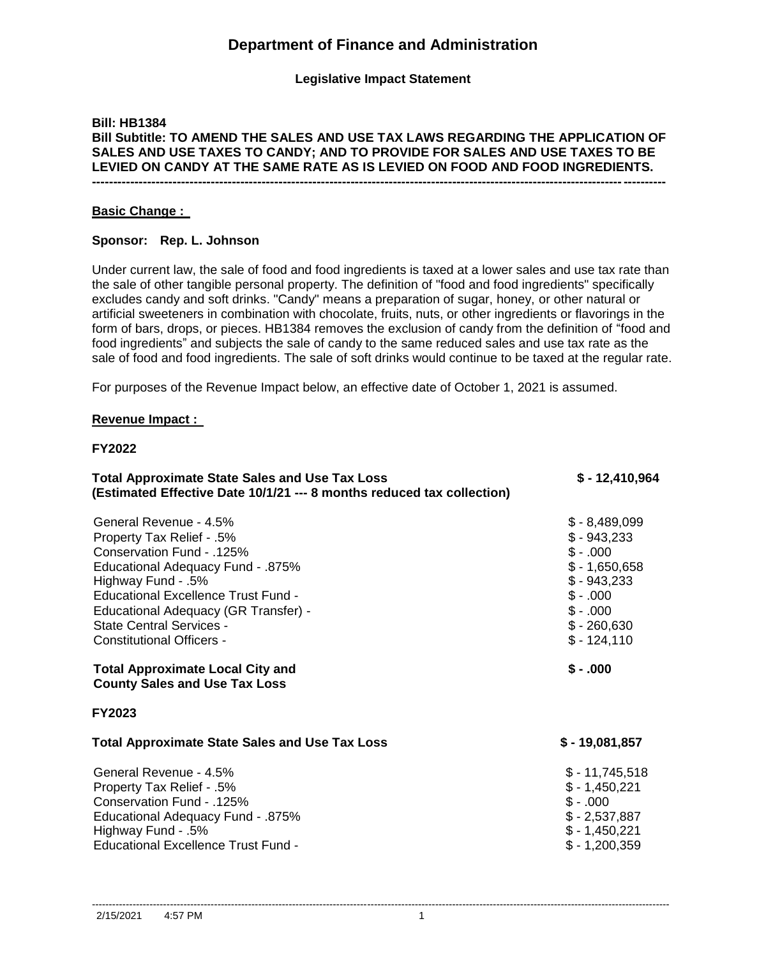# **Department of Finance and Administration**

**Legislative Impact Statement**

# **Bill: HB1384 Bill Subtitle: TO AMEND THE SALES AND USE TAX LAWS REGARDING THE APPLICATION OF SALES AND USE TAXES TO CANDY; AND TO PROVIDE FOR SALES AND USE TAXES TO BE LEVIED ON CANDY AT THE SAME RATE AS IS LEVIED ON FOOD AND FOOD INGREDIENTS. ---------------------------------------------------------------------------------------------------------------------------------------**

# **Basic Change :**

# **Sponsor: Rep. L. Johnson**

Under current law, the sale of food and food ingredients is taxed at a lower sales and use tax rate than the sale of other tangible personal property. The definition of "food and food ingredients" specifically excludes candy and soft drinks. "Candy" means a preparation of sugar, honey, or other natural or artificial sweeteners in combination with chocolate, fruits, nuts, or other ingredients or flavorings in the form of bars, drops, or pieces. HB1384 removes the exclusion of candy from the definition of "food and food ingredients" and subjects the sale of candy to the same reduced sales and use tax rate as the sale of food and food ingredients. The sale of soft drinks would continue to be taxed at the regular rate.

For purposes of the Revenue Impact below, an effective date of October 1, 2021 is assumed.

# **Revenue Impact :**

# **FY2022**

| <b>Total Approximate State Sales and Use Tax Loss</b><br>(Estimated Effective Date 10/1/21 --- 8 months reduced tax collection)                                                                                                                                                                          | $$-12,410,964$                                                                                                                    |
|----------------------------------------------------------------------------------------------------------------------------------------------------------------------------------------------------------------------------------------------------------------------------------------------------------|-----------------------------------------------------------------------------------------------------------------------------------|
| General Revenue - 4.5%<br>Property Tax Relief - .5%<br>Conservation Fund - .125%<br><b>Educational Adequacy Fund - .875%</b><br>Highway Fund - .5%<br>Educational Excellence Trust Fund -<br>Educational Adequacy (GR Transfer) -<br><b>State Central Services -</b><br><b>Constitutional Officers -</b> | $$ -8,489,099$<br>$$-943,233$<br>$$-.000$<br>$$ -1,650,658$<br>$$-943,233$<br>$$-.000$<br>$$-.000$<br>$$ -260,630$<br>$$-124,110$ |
| <b>Total Approximate Local City and</b><br><b>County Sales and Use Tax Loss</b>                                                                                                                                                                                                                          | $$-.000$                                                                                                                          |
| <b>FY2023</b>                                                                                                                                                                                                                                                                                            |                                                                                                                                   |
| <b>Total Approximate State Sales and Use Tax Loss</b>                                                                                                                                                                                                                                                    | $$-19,081,857$                                                                                                                    |
| General Revenue - 4.5%<br>Property Tax Relief - .5%<br>Conservation Fund - .125%<br>Educational Adequacy Fund - .875%<br>Highway Fund - .5%<br>Educational Excellence Trust Fund -                                                                                                                       | $$-11,745,518$<br>$$ -1,450,221$<br>$$-.000$<br>$$ -2,537,887$<br>$$ -1,450,221$<br>$$ -1,200,359$                                |